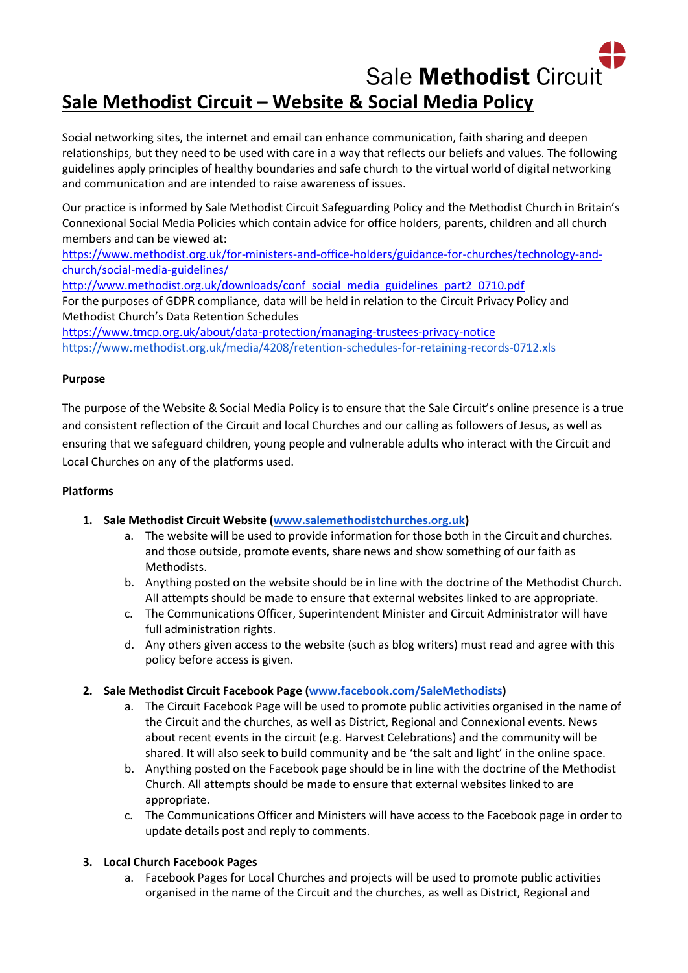# Sale Methodist Circuit **Sale Methodist Circuit – Website & Social Media Policy**

Social networking sites, the internet and email can enhance communication, faith sharing and deepen relationships, but they need to be used with care in a way that reflects our beliefs and values. The following guidelines apply principles of healthy boundaries and safe church to the virtual world of digital networking and communication and are intended to raise awareness of issues.

Our practice is informed by Sale Methodist Circuit Safeguarding Policy and the Methodist Church in Britain's Connexional Social Media Policies which contain advice for office holders, parents, children and all church members and can be viewed at:

[https://www.methodist.org.uk/for-ministers-and-office-holders/guidance-for-churches/technology-and](https://www.methodist.org.uk/for-ministers-and-office-holders/guidance-for-churches/technology-and-church/social-media-guidelines/)[church/social-media-guidelines/](https://www.methodist.org.uk/for-ministers-and-office-holders/guidance-for-churches/technology-and-church/social-media-guidelines/)

[http://www.methodist.org.uk/downloads/conf\\_social\\_media\\_guidelines\\_part2\\_0710.pdf](http://www.methodist.org.uk/downloads/conf_social_media_guidelines_part2_0710.pdf) For the purposes of GDPR compliance, data will be held in relation to the Circuit Privacy Policy and Methodist Church's Data Retention Schedules

<https://www.tmcp.org.uk/about/data-protection/managing-trustees-privacy-notice> <https://www.methodist.org.uk/media/4208/retention-schedules-for-retaining-records-0712.xls>

#### **Purpose**

The purpose of the Website & Social Media Policy is to ensure that the Sale Circuit's online presence is a true and consistent reflection of the Circuit and local Churches and our calling as followers of Jesus, as well as ensuring that we safeguard children, young people and vulnerable adults who interact with the Circuit and Local Churches on any of the platforms used.

#### **Platforms**

# **1. Sale Methodist Circuit Website [\(www.salemethodistchurches.org.uk\)](https://www.salemethodistchurches.org.uk/)**

- a. The website will be used to provide information for those both in the Circuit and churches. and those outside, promote events, share news and show something of our faith as Methodists.
- b. Anything posted on the website should be in line with the doctrine of the Methodist Church. All attempts should be made to ensure that external websites linked to are appropriate.
- c. The Communications Officer, Superintendent Minister and Circuit Administrator will have full administration rights.
- d. Any others given access to the website (such as blog writers) must read and agree with this policy before access is given.

# **2. Sale Methodist Circuit Facebook Page [\(www.facebook.com/SaleMethodists\)](https://www.facebook.com/SaleMethodists)**

- a. The Circuit Facebook Page will be used to promote public activities organised in the name of the Circuit and the churches, as well as District, Regional and Connexional events. News about recent events in the circuit (e.g. Harvest Celebrations) and the community will be shared. It will also seek to build community and be 'the salt and light' in the online space.
- b. Anything posted on the Facebook page should be in line with the doctrine of the Methodist Church. All attempts should be made to ensure that external websites linked to are appropriate.
- c. The Communications Officer and Ministers will have access to the Facebook page in order to update details post and reply to comments.

# **3. Local Church Facebook Pages**

a. Facebook Pages for Local Churches and projects will be used to promote public activities organised in the name of the Circuit and the churches, as well as District, Regional and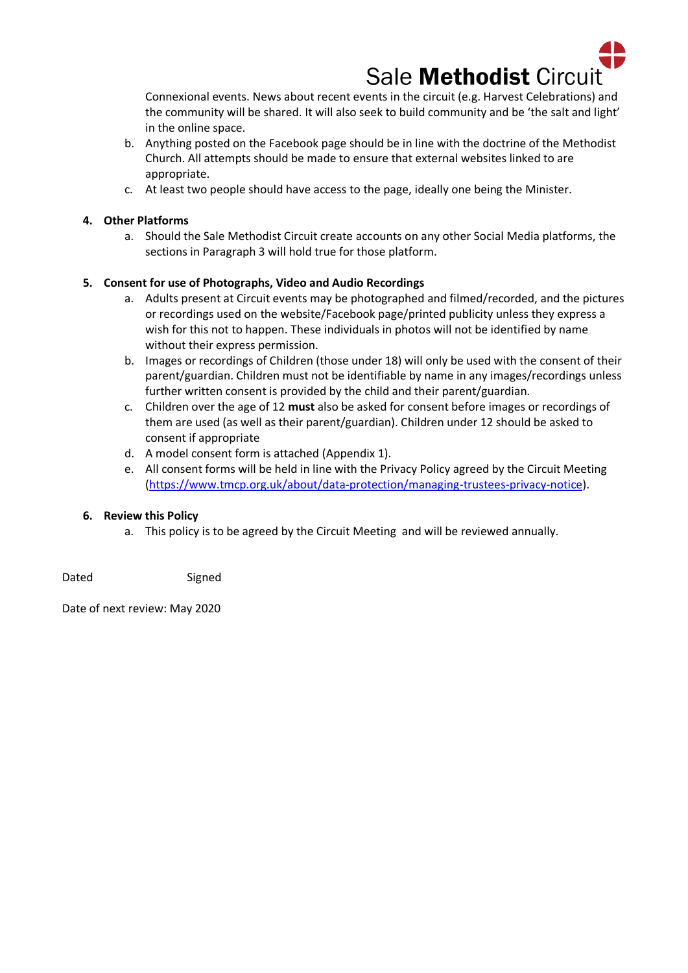

Connexional events. News about recent events in the circuit (e.g. Harvest Celebrations) and the community will be shared. It will also seek to build community and be 'the salt and light' in the online space.

- b. Anything posted on the Facebook page should be in line with the doctrine of the Methodist Church. All attempts should be made to ensure that external websites linked to are appropriate.
- c. At least two people should have access to the page, ideally one being the Minister.

#### **4. Other Platforms**

a. Should the Sale Methodist Circuit create accounts on any other Social Media platforms, the sections in Paragraph 3 will hold true for those platform.

#### **5. Consent for use of Photographs, Video and Audio Recordings**

- a. Adults present at Circuit events may be photographed and filmed/recorded, and the pictures or recordings used on the website/Facebook page/printed publicity unless they express a wish for this not to happen. These individuals in photos will not be identified by name without their express permission.
- b. Images or recordings of Children (those under 18) will only be used with the consent of their parent/guardian. Children must not be identifiable by name in any images/recordings unless further written consent is provided by the child and their parent/guardian.
- c. Children over the age of 12 **must** also be asked for consent before images or recordings of them are used (as well as their parent/guardian). Children under 12 should be asked to consent if appropriate
- d. A model consent form is attached (Appendix 1).
- e. All consent forms will be held in line with the Privacy Policy agreed by the Circuit Meeting [\(https://www.tmcp.org.uk/about/data-protection/managing-trustees-privacy-notice\)](https://www.tmcp.org.uk/about/data-protection/managing-trustees-privacy-notice).

#### **6. Review this Policy**

a. This policy is to be agreed by the Circuit Meeting and will be reviewed annually.

Dated Signed

Date of next review: May 2020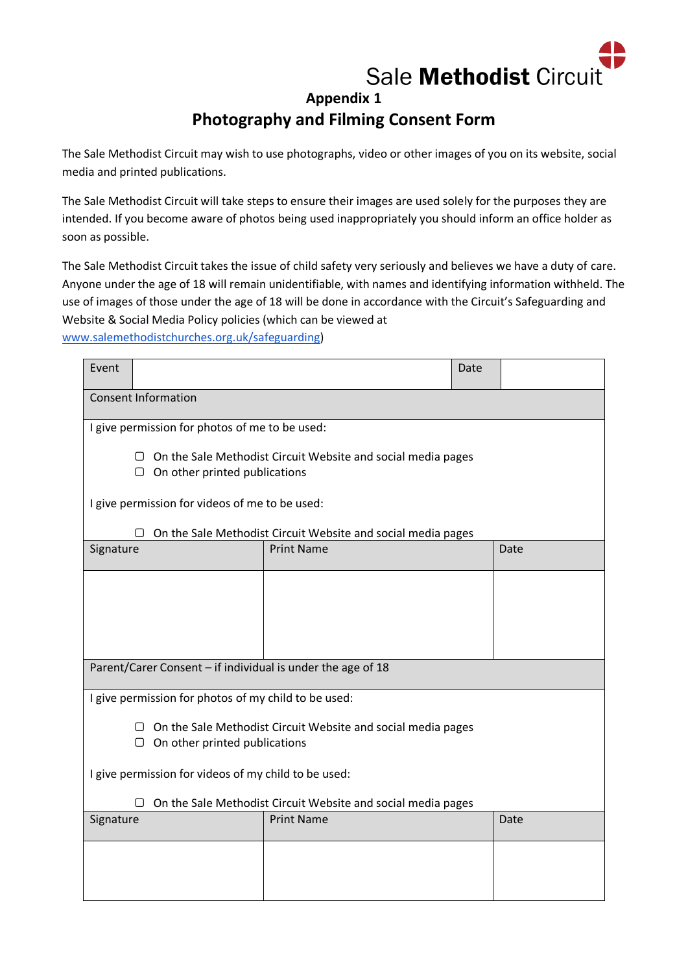

# **Appendix 1 Photography and Filming Consent Form**

The Sale Methodist Circuit may wish to use photographs, video or other images of you on its website, social media and printed publications.

The Sale Methodist Circuit will take steps to ensure their images are used solely for the purposes they are intended. If you become aware of photos being used inappropriately you should inform an office holder as soon as possible.

The Sale Methodist Circuit takes the issue of child safety very seriously and believes we have a duty of care. Anyone under the age of 18 will remain unidentifiable, with names and identifying information withheld. The use of images of those under the age of 18 will be done in accordance with the Circuit's Safeguarding and Website & Social Media Policy policies (which can be viewed at

[www.salemethodistchurches.org.uk/safeguarding\)](https://www.salemethodistchurches.org.uk/safeguarding)

| Event                                                                                                     |  |                   | Date |      |  |  |
|-----------------------------------------------------------------------------------------------------------|--|-------------------|------|------|--|--|
| <b>Consent Information</b>                                                                                |  |                   |      |      |  |  |
| I give permission for photos of me to be used:                                                            |  |                   |      |      |  |  |
| On the Sale Methodist Circuit Website and social media pages<br>П<br>$\Box$ On other printed publications |  |                   |      |      |  |  |
| I give permission for videos of me to be used:                                                            |  |                   |      |      |  |  |
| On the Sale Methodist Circuit Website and social media pages<br>O                                         |  |                   |      |      |  |  |
| Signature                                                                                                 |  | <b>Print Name</b> |      | Date |  |  |
|                                                                                                           |  |                   |      |      |  |  |
|                                                                                                           |  |                   |      |      |  |  |
|                                                                                                           |  |                   |      |      |  |  |
|                                                                                                           |  |                   |      |      |  |  |
| Parent/Carer Consent - if individual is under the age of 18                                               |  |                   |      |      |  |  |
| I give permission for photos of my child to be used:                                                      |  |                   |      |      |  |  |
| On the Sale Methodist Circuit Website and social media pages<br>On other printed publications<br>U        |  |                   |      |      |  |  |
| I give permission for videos of my child to be used:                                                      |  |                   |      |      |  |  |
| On the Sale Methodist Circuit Website and social media pages                                              |  |                   |      |      |  |  |
| Signature                                                                                                 |  | <b>Print Name</b> |      | Date |  |  |
|                                                                                                           |  |                   |      |      |  |  |
|                                                                                                           |  |                   |      |      |  |  |
|                                                                                                           |  |                   |      |      |  |  |